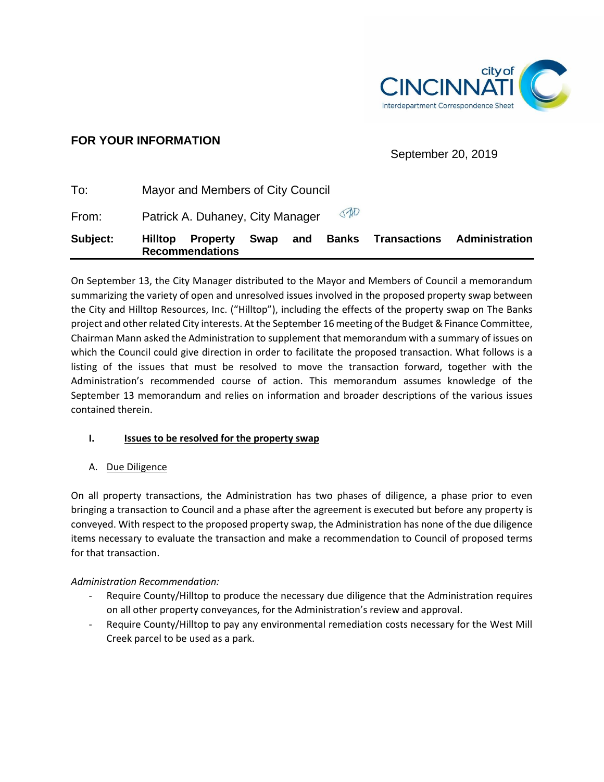

# **FOR YOUR INFORMATION**

September 20, 2019

| Subject: | <b>Hilltop</b>                          | <b>Property</b><br><b>Recommendations</b> | Swap | and | <b>Banks</b> | <b>Transactions</b> | Administration |
|----------|-----------------------------------------|-------------------------------------------|------|-----|--------------|---------------------|----------------|
| From:    | 040<br>Patrick A. Duhaney, City Manager |                                           |      |     |              |                     |                |
| To:      | Mayor and Members of City Council       |                                           |      |     |              |                     |                |

On September 13, the City Manager distributed to the Mayor and Members of Council a memorandum summarizing the variety of open and unresolved issues involved in the proposed property swap between the City and Hilltop Resources, Inc. ("Hilltop"), including the effects of the property swap on The Banks project and other related City interests. At the September 16 meeting of the Budget & Finance Committee, Chairman Mann asked the Administration to supplement that memorandum with a summary of issues on which the Council could give direction in order to facilitate the proposed transaction. What follows is a listing of the issues that must be resolved to move the transaction forward, together with the Administration's recommended course of action. This memorandum assumes knowledge of the September 13 memorandum and relies on information and broader descriptions of the various issues contained therein.

# **I. Issues to be resolved for the property swap**

# A. Due Diligence

On all property transactions, the Administration has two phases of diligence, a phase prior to even bringing a transaction to Council and a phase after the agreement is executed but before any property is conveyed. With respect to the proposed property swap, the Administration has none of the due diligence items necessary to evaluate the transaction and make a recommendation to Council of proposed terms for that transaction.

# *Administration Recommendation:*

- Require County/Hilltop to produce the necessary due diligence that the Administration requires on all other property conveyances, for the Administration's review and approval.
- Require County/Hilltop to pay any environmental remediation costs necessary for the West Mill Creek parcel to be used as a park.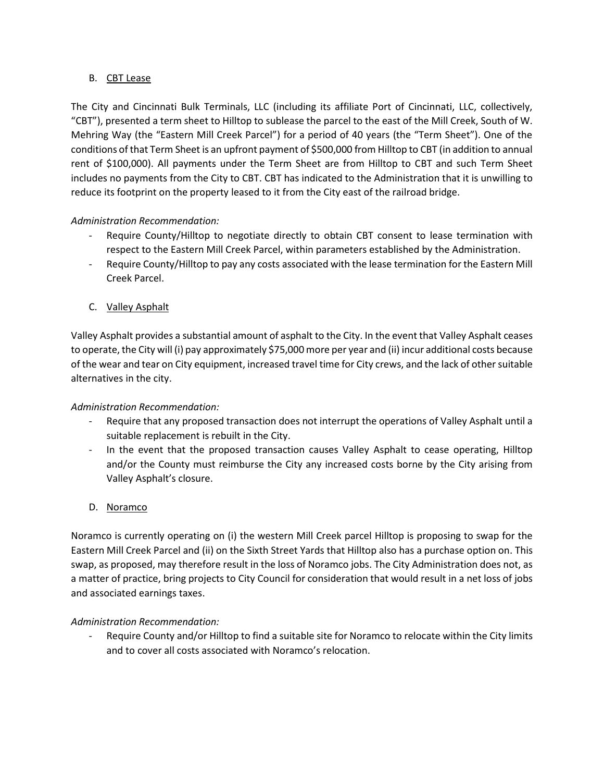#### B. CBT Lease

The City and Cincinnati Bulk Terminals, LLC (including its affiliate Port of Cincinnati, LLC, collectively, "CBT"), presented a term sheet to Hilltop to sublease the parcel to the east of the Mill Creek, South of W. Mehring Way (the "Eastern Mill Creek Parcel") for a period of 40 years (the "Term Sheet"). One of the conditions of that Term Sheet is an upfront payment of \$500,000 from Hilltop to CBT (in addition to annual rent of \$100,000). All payments under the Term Sheet are from Hilltop to CBT and such Term Sheet includes no payments from the City to CBT. CBT has indicated to the Administration that it is unwilling to reduce its footprint on the property leased to it from the City east of the railroad bridge.

# *Administration Recommendation:*

- Require County/Hilltop to negotiate directly to obtain CBT consent to lease termination with respect to the Eastern Mill Creek Parcel, within parameters established by the Administration.
- Require County/Hilltop to pay any costs associated with the lease termination for the Eastern Mill Creek Parcel.
- C. Valley Asphalt

Valley Asphalt provides a substantial amount of asphalt to the City. In the event that Valley Asphalt ceases to operate, the City will (i) pay approximately \$75,000 more per year and (ii) incur additional costs because of the wear and tear on City equipment, increased travel time for City crews, and the lack of other suitable alternatives in the city.

#### *Administration Recommendation:*

- Require that any proposed transaction does not interrupt the operations of Valley Asphalt until a suitable replacement is rebuilt in the City.
- In the event that the proposed transaction causes Valley Asphalt to cease operating, Hilltop and/or the County must reimburse the City any increased costs borne by the City arising from Valley Asphalt's closure.
- D. Noramco

Noramco is currently operating on (i) the western Mill Creek parcel Hilltop is proposing to swap for the Eastern Mill Creek Parcel and (ii) on the Sixth Street Yards that Hilltop also has a purchase option on. This swap, as proposed, may therefore result in the loss of Noramco jobs. The City Administration does not, as a matter of practice, bring projects to City Council for consideration that would result in a net loss of jobs and associated earnings taxes.

#### *Administration Recommendation:*

Require County and/or Hilltop to find a suitable site for Noramco to relocate within the City limits and to cover all costs associated with Noramco's relocation.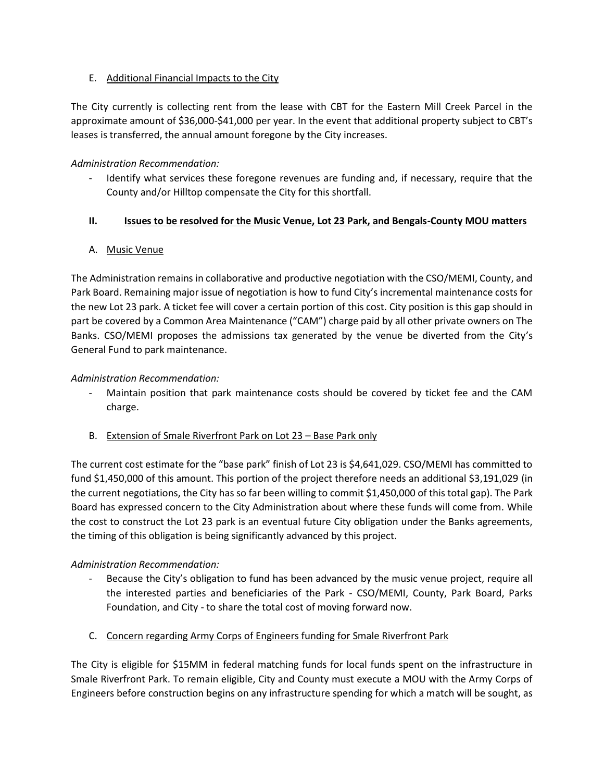# E. Additional Financial Impacts to the City

The City currently is collecting rent from the lease with CBT for the Eastern Mill Creek Parcel in the approximate amount of \$36,000-\$41,000 per year. In the event that additional property subject to CBT's leases is transferred, the annual amount foregone by the City increases.

# *Administration Recommendation:*

Identify what services these foregone revenues are funding and, if necessary, require that the County and/or Hilltop compensate the City for this shortfall.

# **II. Issues to be resolved for the Music Venue, Lot 23 Park, and Bengals-County MOU matters**

# A. Music Venue

The Administration remains in collaborative and productive negotiation with the CSO/MEMI, County, and Park Board. Remaining major issue of negotiation is how to fund City's incremental maintenance costs for the new Lot 23 park. A ticket fee will cover a certain portion of this cost. City position is this gap should in part be covered by a Common Area Maintenance ("CAM") charge paid by all other private owners on The Banks. CSO/MEMI proposes the admissions tax generated by the venue be diverted from the City's General Fund to park maintenance.

#### *Administration Recommendation:*

- Maintain position that park maintenance costs should be covered by ticket fee and the CAM charge.
- B. Extension of Smale Riverfront Park on Lot 23 Base Park only

The current cost estimate for the "base park" finish of Lot 23 is \$4,641,029. CSO/MEMI has committed to fund \$1,450,000 of this amount. This portion of the project therefore needs an additional \$3,191,029 (in the current negotiations, the City has so far been willing to commit \$1,450,000 of this total gap). The Park Board has expressed concern to the City Administration about where these funds will come from. While the cost to construct the Lot 23 park is an eventual future City obligation under the Banks agreements, the timing of this obligation is being significantly advanced by this project.

# *Administration Recommendation:*

- Because the City's obligation to fund has been advanced by the music venue project, require all the interested parties and beneficiaries of the Park - CSO/MEMI, County, Park Board, Parks Foundation, and City - to share the total cost of moving forward now.
- C. Concern regarding Army Corps of Engineers funding for Smale Riverfront Park

The City is eligible for \$15MM in federal matching funds for local funds spent on the infrastructure in Smale Riverfront Park. To remain eligible, City and County must execute a MOU with the Army Corps of Engineers before construction begins on any infrastructure spending for which a match will be sought, as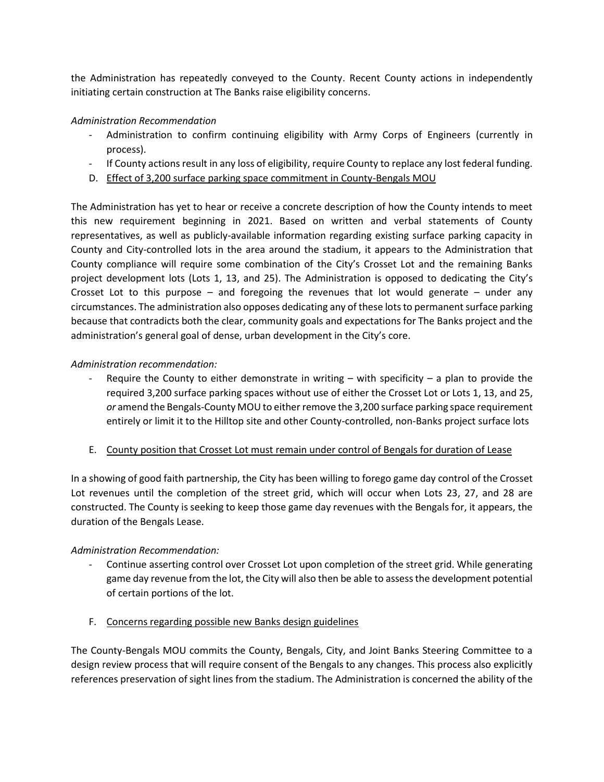the Administration has repeatedly conveyed to the County. Recent County actions in independently initiating certain construction at The Banks raise eligibility concerns.

#### *Administration Recommendation*

- Administration to confirm continuing eligibility with Army Corps of Engineers (currently in process).
- If County actions result in any loss of eligibility, require County to replace any lost federal funding.
- D. Effect of 3,200 surface parking space commitment in County-Bengals MOU

The Administration has yet to hear or receive a concrete description of how the County intends to meet this new requirement beginning in 2021. Based on written and verbal statements of County representatives, as well as publicly-available information regarding existing surface parking capacity in County and City-controlled lots in the area around the stadium, it appears to the Administration that County compliance will require some combination of the City's Crosset Lot and the remaining Banks project development lots (Lots 1, 13, and 25). The Administration is opposed to dedicating the City's Crosset Lot to this purpose – and foregoing the revenues that lot would generate – under any circumstances. The administration also opposes dedicating any of these lots to permanent surface parking because that contradicts both the clear, community goals and expectations for The Banks project and the administration's general goal of dense, urban development in the City's core.

# *Administration recommendation:*

- Require the County to either demonstrate in writing with specificity a plan to provide the required 3,200 surface parking spaces without use of either the Crosset Lot or Lots 1, 13, and 25, *or* amend the Bengals-County MOU to either remove the 3,200 surface parking space requirement entirely or limit it to the Hilltop site and other County-controlled, non-Banks project surface lots
- E. County position that Crosset Lot must remain under control of Bengals for duration of Lease

In a showing of good faith partnership, the City has been willing to forego game day control of the Crosset Lot revenues until the completion of the street grid, which will occur when Lots 23, 27, and 28 are constructed. The County is seeking to keep those game day revenues with the Bengals for, it appears, the duration of the Bengals Lease.

#### *Administration Recommendation:*

- Continue asserting control over Crosset Lot upon completion of the street grid. While generating game day revenue from the lot, the City will also then be able to assess the development potential of certain portions of the lot.
- F. Concerns regarding possible new Banks design guidelines

The County-Bengals MOU commits the County, Bengals, City, and Joint Banks Steering Committee to a design review process that will require consent of the Bengals to any changes. This process also explicitly references preservation of sight lines from the stadium. The Administration is concerned the ability of the